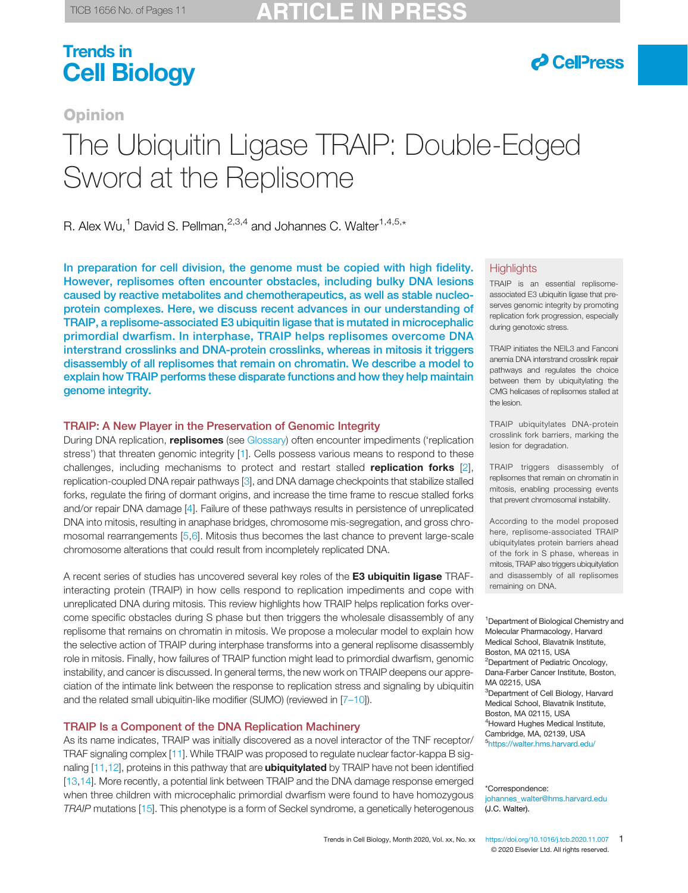# $\partial$  CellPress

# **Opinion** The Ubiquitin Ligase TRAIP: Double-Edged Sword at the Replisome

R. Alex Wu,<sup>1</sup> David S. Pellman,  $2,3,4$  and Johannes C. Walter<sup>1,4,5,\*</sup>

In preparation for cell division, the genome must be copied with high fidelity. However, replisomes often encounter obstacles, including bulky DNA lesions caused by reactive metabolites and chemotherapeutics, as well as stable nucleoprotein complexes. Here, we discuss recent advances in our understanding of TRAIP, a replisome-associated E3 ubiquitin ligase that is mutated in microcephalic primordial dwarfism. In interphase, TRAIP helps replisomes overcome DNA interstrand crosslinks and DNA-protein crosslinks, whereas in mitosis it triggers disassembly of all replisomes that remain on chromatin. We describe a model to explain how TRAIP performs these disparate functions and how they help maintain genome integrity.

### TRAIP: A New Player in the Preservation of Genomic Integrity

During DNA replication, replisomes (see [Glossary\)](#page-1-0) often encounter impediments ('replication stress') that threaten genomic integrity [\[1](#page-8-0)]. Cells possess various means to respond to these challenges, including mechanisms to protect and restart stalled **replication forks**  $[2]$  $[2]$ , replication-coupled DNA repair pathways [\[3\]](#page-8-0), and DNA damage checkpoints that stabilize stalled forks, regulate the firing of dormant origins, and increase the time frame to rescue stalled forks and/or repair DNA damage [[4](#page-8-0)]. Failure of these pathways results in persistence of unreplicated DNA into mitosis, resulting in anaphase bridges, chromosome mis-segregation, and gross chromosomal rearrangements [[5,6](#page-8-0)]. Mitosis thus becomes the last chance to prevent large-scale chromosome alterations that could result from incompletely replicated DNA.

A recent series of studies has uncovered several key roles of the E3 ubiquitin ligase TRAFinteracting protein (TRAIP) in how cells respond to replication impediments and cope with unreplicated DNA during mitosis. This review highlights how TRAIP helps replication forks overcome specific obstacles during S phase but then triggers the wholesale disassembly of any replisome that remains on chromatin in mitosis. We propose a molecular model to explain how the selective action of TRAIP during interphase transforms into a general replisome disassembly role in mitosis. Finally, how failures of TRAIP function might lead to primordial dwarfism, genomic instability, and cancer is discussed. In general terms, the new work on TRAIP deepens our appreciation of the intimate link between the response to replication stress and signaling by ubiquitin and the related small ubiquitin-like modifier (SUMO) (reviewed in [7-[10\]](#page-8-0)).

## TRAIP Is a Component of the DNA Replication Machinery

As its name indicates, TRAIP was initially discovered as a novel interactor of the TNF receptor/ TRAF signaling complex [\[11](#page-8-0)]. While TRAIP was proposed to regulate nuclear factor-kappa B sig-naling [\[11,12](#page-8-0)], proteins in this pathway that are **ubiquitylated** by TRAIP have not been identified [[13,14](#page-8-0)]. More recently, a potential link between TRAIP and the DNA damage response emerged when three children with microcephalic primordial dwarfism were found to have homozygous TRAIP mutations [[15](#page-8-0)]. This phenotype is a form of Seckel syndrome, a genetically heterogenous

#### **Highlights**

TRAIP is an essential replisomeassociated E3 ubiquitin ligase that preserves genomic integrity by promoting replication fork progression, especially during genotoxic stress.

TRAIP initiates the NEIL3 and Fanconi anemia DNA interstrand crosslink repair pathways and regulates the choice between them by ubiquitylating the CMG helicases of replisomes stalled at the lesion.

TRAIP ubiquitylates DNA-protein crosslink fork barriers, marking the lesion for degradation.

TRAIP triggers disassembly of replisomes that remain on chromatin in mitosis, enabling processing events that prevent chromosomal instability.

According to the model proposed here, replisome-associated TRAIP ubiquitylates protein barriers ahead of the fork in S phase, whereas in mitosis, TRAIP also triggers ubiquitylation and disassembly of all replisomes remaining on DNA.

<sup>1</sup> Department of Biological Chemistry and Molecular Pharmacology, Harvard Medical School, Blavatnik Institute, Boston, MA 02115, USA <sup>2</sup>Department of Pediatric Oncology, Dana-Farber Cancer Institute, Boston, MA 02215, USA <sup>3</sup>Department of Cell Biology, Harvard Medical School, Blavatnik Institute, Boston, MA 02115, USA 4 Howard Hughes Medical Institute, Cambridge, MA, 02139, USA 5 <https://walter.hms.harvard.edu/>

\*Correspondence: johannes\_walter@hms.harvard.edu (J.C. Walter).

Trends in Cell Biology, Month 2020, Vol. xx, No. xx <https://doi.org/10.1016/j.tcb.2020.11.007> [1](https://doi.org/10.1016/j.tcb.2020.11.007)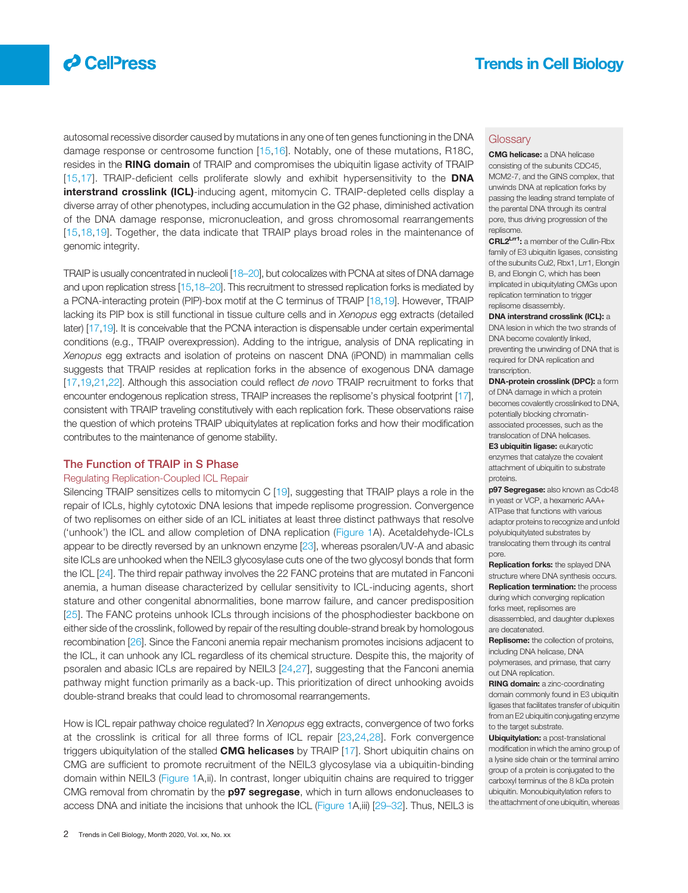<span id="page-1-0"></span>

autosomal recessive disorder caused by mutations in any one of ten genes functioning in the DNA damage response or centrosome function [\[15,](#page-8-0)[16](#page-9-0)]. Notably, one of these mutations, R18C, resides in the RING domain of TRAIP and compromises the ubiquitin ligase activity of TRAIP [[15](#page-8-0),[17](#page-9-0)]. TRAIP-deficient cells proliferate slowly and exhibit hypersensitivity to the DNA interstrand crosslink (ICL)-inducing agent, mitomycin C. TRAIP-depleted cells display a diverse array of other phenotypes, including accumulation in the G2 phase, diminished activation of the DNA damage response, micronucleation, and gross chromosomal rearrangements [[15](#page-8-0),[18](#page-9-0),[19\]](#page-9-0). Together, the data indicate that TRAIP plays broad roles in the maintenance of genomic integrity.

TRAIP is usually concentrated in nucleoli [[18](#page-9-0)–20], but colocalizes with PCNA at sites of DNA damage and upon replication stress [\[15,](#page-8-0)[18](#page-9-0)–20]. This recruitment to stressed replication forks is mediated by a PCNA-interacting protein (PIP)-box motif at the C terminus of TRAIP [[18,19\]](#page-9-0). However, TRAIP lacking its PIP box is still functional in tissue culture cells and in Xenopus egg extracts (detailed later) [[17](#page-9-0),[19](#page-9-0)]. It is conceivable that the PCNA interaction is dispensable under certain experimental conditions (e.g., TRAIP overexpression). Adding to the intrigue, analysis of DNA replicating in Xenopus egg extracts and isolation of proteins on nascent DNA (iPOND) in mammalian cells suggests that TRAIP resides at replication forks in the absence of exogenous DNA damage [[17,19](#page-9-0),[21,22\]](#page-9-0). Although this association could reflect de novo TRAIP recruitment to forks that encounter endogenous replication stress, TRAIP increases the replisome's physical footprint [\[17\]](#page-9-0), consistent with TRAIP traveling constitutively with each replication fork. These observations raise the question of which proteins TRAIP ubiquitylates at replication forks and how their modification contributes to the maintenance of genome stability.

#### The Function of TRAIP in S Phase

#### Regulating Replication-Coupled ICL Repair

Silencing TRAIP sensitizes cells to mitomycin C [[19](#page-9-0)], suggesting that TRAIP plays a role in the repair of ICLs, highly cytotoxic DNA lesions that impede replisome progression. Convergence of two replisomes on either side of an ICL initiates at least three distinct pathways that resolve ('unhook') the ICL and allow completion of DNA replication ([Figure 1](#page-2-0)A). Acetaldehyde-ICLs appear to be directly reversed by an unknown enzyme [\[23\]](#page-9-0), whereas psoralen/UV-A and abasic site ICLs are unhooked when the NEIL3 glycosylase cuts one of the two glycosyl bonds that form the ICL [\[24\]](#page-9-0). The third repair pathway involves the 22 FANC proteins that are mutated in Fanconi anemia, a human disease characterized by cellular sensitivity to ICL-inducing agents, short stature and other congenital abnormalities, bone marrow failure, and cancer predisposition [[25](#page-9-0)]. The FANC proteins unhook ICLs through incisions of the phosphodiester backbone on either side of the crosslink, followed by repair of the resulting double-strand break by homologous recombination [\[26](#page-9-0)]. Since the Fanconi anemia repair mechanism promotes incisions adjacent to the ICL, it can unhook any ICL regardless of its chemical structure. Despite this, the majority of psoralen and abasic ICLs are repaired by NEIL3 [[24,27\]](#page-9-0), suggesting that the Fanconi anemia pathway might function primarily as a back-up. This prioritization of direct unhooking avoids double-strand breaks that could lead to chromosomal rearrangements.

How is ICL repair pathway choice regulated? In Xenopus egg extracts, convergence of two forks at the crosslink is critical for all three forms of ICL repair [\[23,24](#page-9-0),[28\]](#page-9-0). Fork convergence triggers ubiquitylation of the stalled **CMG helicases** by TRAIP [[17\]](#page-9-0). Short ubiquitin chains on CMG are sufficient to promote recruitment of the NEIL3 glycosylase via a ubiquitin-binding domain within NEIL3 ([Figure 1](#page-2-0)A,ii). In contrast, longer ubiquitin chains are required to trigger CMG removal from chromatin by the **p97 segregase**, which in turn allows endonucleases to access DNA and initiate the incisions that unhook the ICL [\(Figure 1](#page-2-0)A,iii) [[29](#page-9-0)–32]. Thus, NEIL3 is

#### **Glossary**

CMG helicase: a DNA helicase consisting of the subunits CDC45, MCM2-7, and the GINS complex, that unwinds DNA at replication forks by passing the leading strand template of the parental DNA through its central pore, thus driving progression of the replisome.

CRL2<sup>Lrr1</sup>: a member of the Cullin-Rbx family of E3 ubiquitin ligases, consisting of the subunits Cul2, Rbx1, Lrr1, Elongin B, and Elongin C, which has been implicated in ubiquitylating CMGs upon replication termination to trigger replisome disassembly.

DNA interstrand crosslink (ICL): a DNA lesion in which the two strands of DNA become covalently linked, preventing the unwinding of DNA that is required for DNA replication and transcription.

DNA-protein crosslink (DPC): a form of DNA damage in which a protein becomes covalently crosslinked to DNA, potentially blocking chromatinassociated processes, such as the translocation of DNA helicases. E3 ubiquitin ligase: eukaryotic

enzymes that catalyze the covalent attachment of ubiquitin to substrate proteins.

p97 Segregase: also known as Cdc48 in yeast or VCP, a hexameric AAA+ ATPase that functions with various adaptor proteins to recognize and unfold polyubiquitylated substrates by translocating them through its central pore.

**Replication forks:** the splayed DNA structure where DNA synthesis occurs. **Replication termination:** the process during which converging replication forks meet, replisomes are disassembled, and daughter duplexes are decatenated.

Replisome: the collection of proteins, including DNA helicase, DNA polymerases, and primase, that carry out DNA replication.

RING domain: a zinc-coordinating domain commonly found in E3 ubiquitin ligases that facilitates transfer of ubiquitin from an E2 ubiquitin conjugating enzyme to the target substrate.

Ubiquitylation: a post-translational modification in which the amino group of a lysine side chain or the terminal amino group of a protein is conjugated to the carboxyl terminus of the 8 kDa protein ubiquitin. Monoubiquitylation refers to the attachment of one ubiquitin, whereas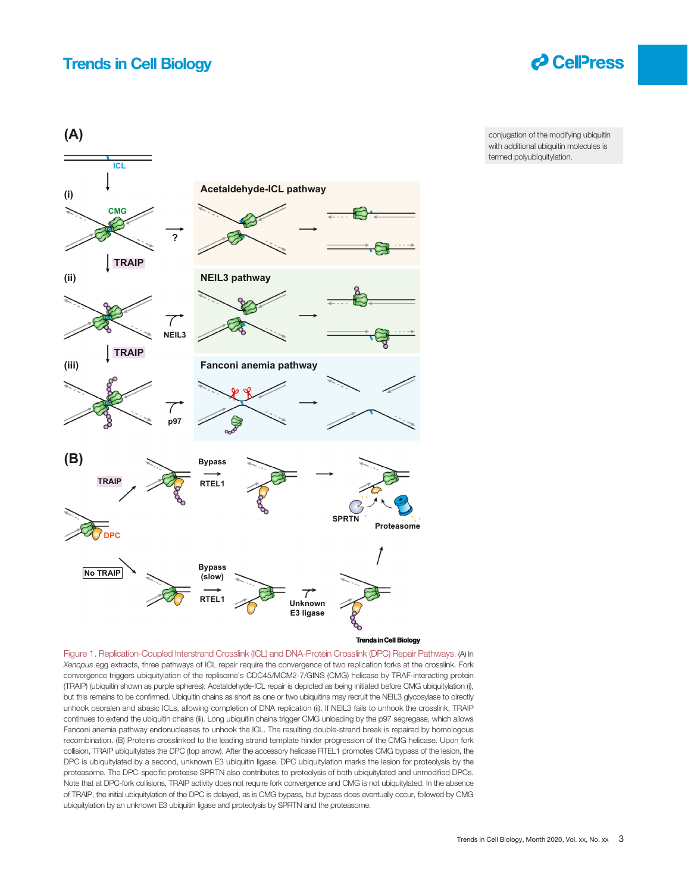

<span id="page-2-0"></span>

conjugation of the modifying ubiquitin with additional ubiquitin molecules is termed polyubiquitylation.

Figure 1. Replication-Coupled Interstrand Crosslink (ICL) and DNA-Protein Crosslink (DPC) Repair Pathways. (A) In Xenopus egg extracts, three pathways of ICL repair require the convergence of two replication forks at the crosslink. Fork convergence triggers ubiquitylation of the replisome's CDC45/MCM2-7/GINS (CMG) helicase by TRAF-interacting protein (TRAIP) (ubiquitin shown as purple spheres). Acetaldehyde-ICL repair is depicted as being initiated before CMG ubiquitylation (i), but this remains to be confirmed. Ubiquitin chains as short as one or two ubiquitins may recruit the NEIL3 glycosylase to directly unhook psoralen and abasic ICLs, allowing completion of DNA replication (ii). If NEIL3 fails to unhook the crosslink, TRAIP continues to extend the ubiquitin chains (iii). Long ubiquitin chains trigger CMG unloading by the p97 segregase, which allows Fanconi anemia pathway endonucleases to unhook the ICL. The resulting double-strand break is repaired by homologous recombination. (B) Proteins crosslinked to the leading strand template hinder progression of the CMG helicase. Upon fork collision, TRAIP ubiquitylates the DPC (top arrow). After the accessory helicase RTEL1 promotes CMG bypass of the lesion, the DPC is ubiquitylated by a second, unknown E3 ubiquitin ligase. DPC ubiquitylation marks the lesion for proteolysis by the proteasome. The DPC-specific protease SPRTN also contributes to proteolysis of both ubiquitylated and unmodified DPCs. Note that at DPC-fork collisions, TRAIP activity does not require fork convergence and CMG is not ubiquitylated. In the absence of TRAIP, the initial ubiquitylation of the DPC is delayed, as is CMG bypass, but bypass does eventually occur, followed by CMG ubiquitylation by an unknown E3 ubiquitin ligase and proteolysis by SPRTN and the proteasome.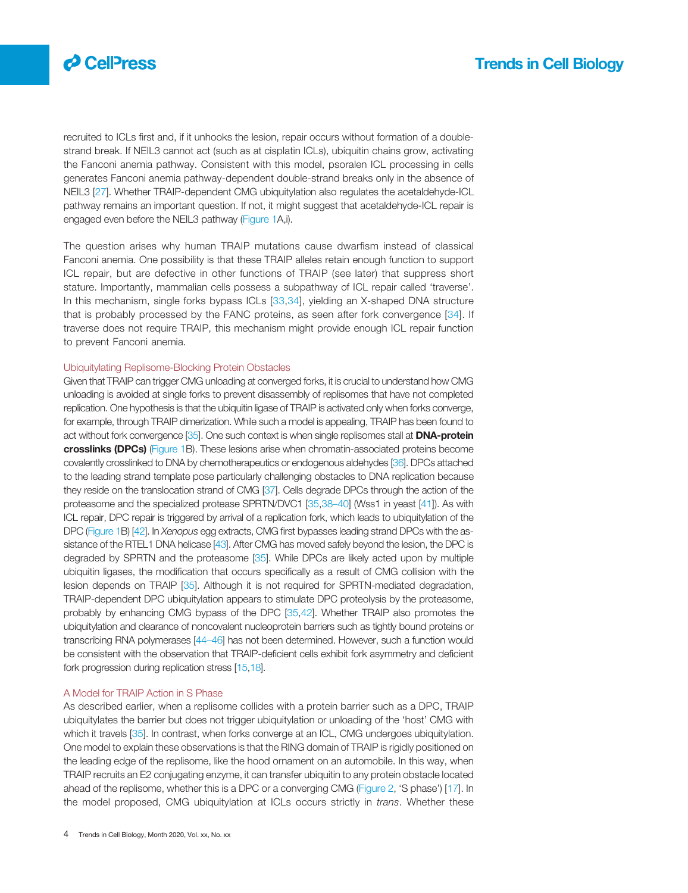

recruited to ICLs first and, if it unhooks the lesion, repair occurs without formation of a doublestrand break. If NEIL3 cannot act (such as at cisplatin ICLs), ubiquitin chains grow, activating the Fanconi anemia pathway. Consistent with this model, psoralen ICL processing in cells generates Fanconi anemia pathway-dependent double-strand breaks only in the absence of NEIL3 [\[27](#page-9-0)]. Whether TRAIP-dependent CMG ubiquitylation also regulates the acetaldehyde-ICL pathway remains an important question. If not, it might suggest that acetaldehyde-ICL repair is engaged even before the NEIL3 pathway ([Figure 1](#page-2-0)A,i).

The question arises why human TRAIP mutations cause dwarfism instead of classical Fanconi anemia. One possibility is that these TRAIP alleles retain enough function to support ICL repair, but are defective in other functions of TRAIP (see later) that suppress short stature. Importantly, mammalian cells possess a subpathway of ICL repair called 'traverse'. In this mechanism, single forks bypass ICLs [\[33,34\]](#page-9-0), yielding an X-shaped DNA structure that is probably processed by the FANC proteins, as seen after fork convergence [[34\]](#page-9-0). If traverse does not require TRAIP, this mechanism might provide enough ICL repair function to prevent Fanconi anemia.

#### Ubiquitylating Replisome-Blocking Protein Obstacles

Given that TRAIP can trigger CMG unloading at converged forks, it is crucial to understand how CMG unloading is avoided at single forks to prevent disassembly of replisomes that have not completed replication. One hypothesis is that the ubiquitin ligase of TRAIP is activated only when forks converge, for example, through TRAIP dimerization. While such a model is appealing, TRAIP has been found to act without fork convergence [\[35\]](#page-9-0). One such context is when single replisomes stall at **DNA-protein** crosslinks (DPCs) [\(Figure 1B](#page-2-0)). These lesions arise when chromatin-associated proteins become covalently crosslinked to DNA by chemotherapeutics or endogenous aldehydes [\[36\]](#page-9-0). DPCs attached to the leading strand template pose particularly challenging obstacles to DNA replication because they reside on the translocation strand of CMG [\[37](#page-9-0)]. Cells degrade DPCs through the action of the proteasome and the specialized protease SPRTN/DVC1 [\[35,38](#page-9-0)–40] (Wss1 in yeast [\[41\]](#page-9-0)). As with ICL repair, DPC repair is triggered by arrival of a replication fork, which leads to ubiquitylation of the DPC [\(Figure 1B](#page-2-0)) [[42](#page-9-0)]. In Xenopus egg extracts, CMG first bypasses leading strand DPCs with the as-sistance of the RTEL1 DNA helicase [\[43](#page-9-0)]. After CMG has moved safely beyond the lesion, the DPC is degraded by SPRTN and the proteasome [\[35](#page-9-0)]. While DPCs are likely acted upon by multiple ubiquitin ligases, the modification that occurs specifically as a result of CMG collision with the lesion depends on TRAIP [[35\]](#page-9-0). Although it is not required for SPRTN-mediated degradation, TRAIP-dependent DPC ubiquitylation appears to stimulate DPC proteolysis by the proteasome, probably by enhancing CMG bypass of the DPC [[35,42\]](#page-9-0). Whether TRAIP also promotes the ubiquitylation and clearance of noncovalent nucleoprotein barriers such as tightly bound proteins or transcribing RNA polymerases [[44](#page-9-0)–46] has not been determined. However, such a function would be consistent with the observation that TRAIP-deficient cells exhibit fork asymmetry and deficient fork progression during replication stress [\[15](#page-8-0)[,18\]](#page-9-0).

#### A Model for TRAIP Action in S Phase

As described earlier, when a replisome collides with a protein barrier such as a DPC, TRAIP ubiquitylates the barrier but does not trigger ubiquitylation or unloading of the 'host' CMG with which it travels [[35\]](#page-9-0). In contrast, when forks converge at an ICL, CMG undergoes ubiquitylation. One model to explain these observations is that the RING domain of TRAIP is rigidly positioned on the leading edge of the replisome, like the hood ornament on an automobile. In this way, when TRAIP recruits an E2 conjugating enzyme, it can transfer ubiquitin to any protein obstacle located ahead of the replisome, whether this is a DPC or a converging CMG ([Figure 2](#page-4-0), 'S phase') [\[17](#page-9-0)]. In the model proposed, CMG ubiquitylation at ICLs occurs strictly in trans. Whether these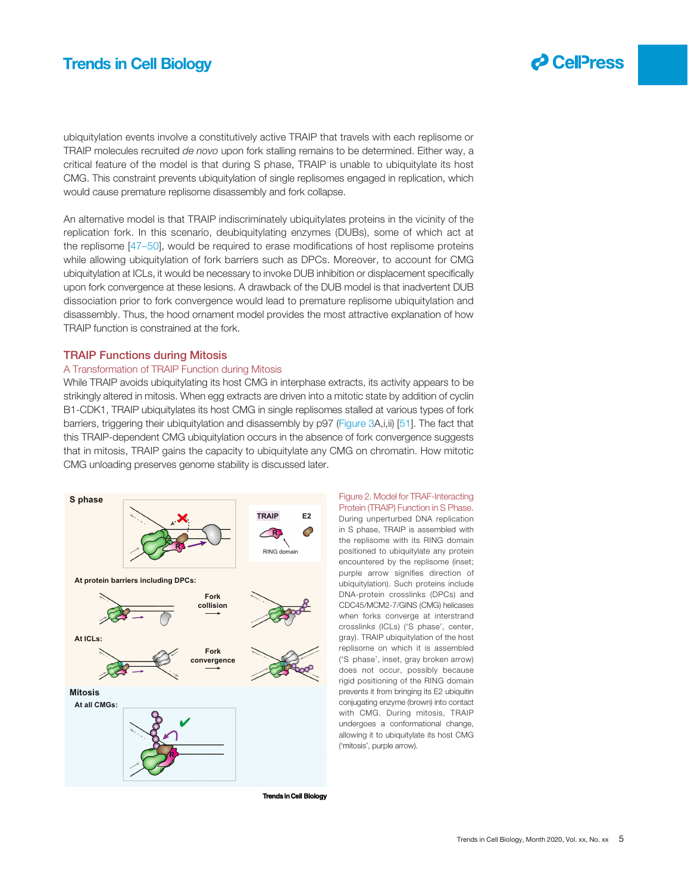<span id="page-4-0"></span>ubiquitylation events involve a constitutively active TRAIP that travels with each replisome or TRAIP molecules recruited de novo upon fork stalling remains to be determined. Either way, a critical feature of the model is that during S phase, TRAIP is unable to ubiquitylate its host CMG. This constraint prevents ubiquitylation of single replisomes engaged in replication, which would cause premature replisome disassembly and fork collapse.

An alternative model is that TRAIP indiscriminately ubiquitylates proteins in the vicinity of the replication fork. In this scenario, deubiquitylating enzymes (DUBs), some of which act at the replisome [\[47](#page-9-0)–50], would be required to erase modifications of host replisome proteins while allowing ubiquitylation of fork barriers such as DPCs. Moreover, to account for CMG ubiquitylation at ICLs, it would be necessary to invoke DUB inhibition or displacement specifically upon fork convergence at these lesions. A drawback of the DUB model is that inadvertent DUB dissociation prior to fork convergence would lead to premature replisome ubiquitylation and disassembly. Thus, the hood ornament model provides the most attractive explanation of how TRAIP function is constrained at the fork.

#### TRAIP Functions during Mitosis

#### A Transformation of TRAIP Function during Mitosis

While TRAIP avoids ubiquitylating its host CMG in interphase extracts, its activity appears to be strikingly altered in mitosis. When egg extracts are driven into a mitotic state by addition of cyclin B1-CDK1, TRAIP ubiquitylates its host CMG in single replisomes stalled at various types of fork barriers, triggering their ubiquitylation and disassembly by p97 [\(Figure 3](#page-6-0)A,i,ii) [\[51](#page-9-0)]. The fact that this TRAIP-dependent CMG ubiquitylation occurs in the absence of fork convergence suggests that in mitosis, TRAIP gains the capacity to ubiquitylate any CMG on chromatin. How mitotic CMG unloading preserves genome stability is discussed later.



Figure 2. Model for TRAF-Interacting Protein (TRAIP) Function in S Phase. During unperturbed DNA replication in S phase, TRAIP is assembled with the replisome with its RING domain positioned to ubiquitylate any protein encountered by the replisome (inset; purple arrow signifies direction of ubiquitylation). Such proteins include DNA-protein crosslinks (DPCs) and CDC45/MCM2-7/GINS (CMG) helicases when forks converge at interstrand crosslinks (ICLs) ('S phase', center, gray). TRAIP ubiquitylation of the host replisome on which it is assembled ('S phase', inset, gray broken arrow) does not occur, possibly because rigid positioning of the RING domain prevents it from bringing its E2 ubiquitin conjugating enzyme (brown) into contact with CMG. During mitosis, TRAIP undergoes a conformational change, allowing it to ubiquitylate its host CMG ('mitosis', purple arrow).

**Trends in Cell Biology**

 $\boldsymbol{\partial}$  CellPress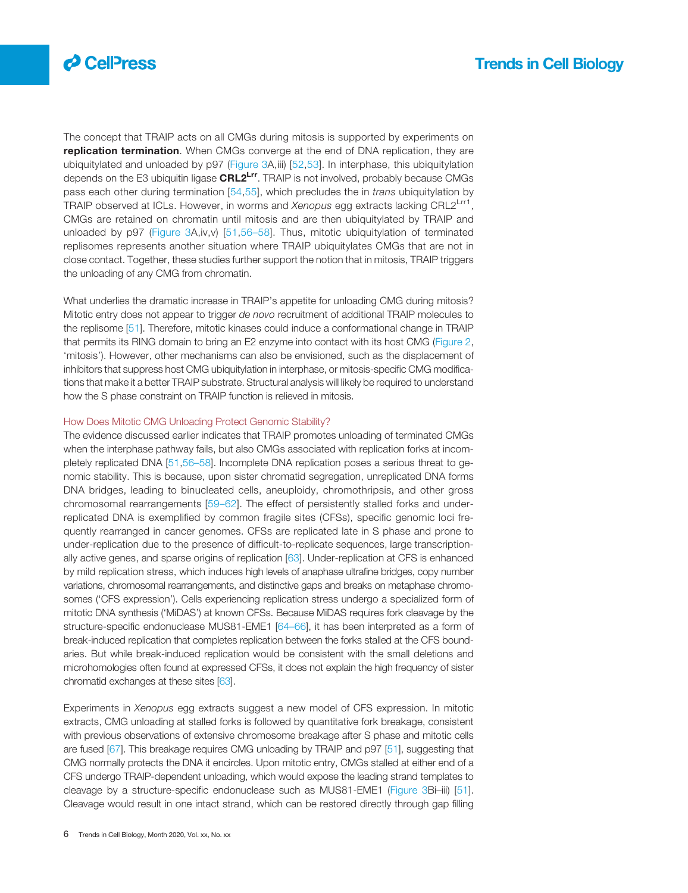

The concept that TRAIP acts on all CMGs during mitosis is supported by experiments on replication termination. When CMGs converge at the end of DNA replication, they are ubiquitylated and unloaded by p97 ([Figure 3A](#page-6-0),iii) [\[52,53\]](#page-9-0). In interphase, this ubiquitylation depends on the E3 ubiquitin ligase CRL2<sup>Lrr</sup>. TRAIP is not involved, probably because CMGs pass each other during termination [[54](#page-9-0),[55](#page-9-0)], which precludes the in trans ubiquitylation by TRAIP observed at ICLs. However, in worms and Xenopus egg extracts lacking CRL2<sup>Lrr1</sup>, CMGs are retained on chromatin until mitosis and are then ubiquitylated by TRAIP and unloaded by p97 [\(Figure 3A](#page-6-0),iv,v) [[51,](#page-9-0)56–[58\]](#page-9-0). Thus, mitotic ubiquitylation of terminated replisomes represents another situation where TRAIP ubiquitylates CMGs that are not in close contact. Together, these studies further support the notion that in mitosis, TRAIP triggers the unloading of any CMG from chromatin.

What underlies the dramatic increase in TRAIP's appetite for unloading CMG during mitosis? Mitotic entry does not appear to trigger de novo recruitment of additional TRAIP molecules to the replisome [[51\]](#page-9-0). Therefore, mitotic kinases could induce a conformational change in TRAIP that permits its RING domain to bring an E2 enzyme into contact with its host CMG ([Figure 2](#page-4-0), 'mitosis'). However, other mechanisms can also be envisioned, such as the displacement of inhibitors that suppress host CMG ubiquitylation in interphase, or mitosis-specific CMG modifications that make it a better TRAIP substrate. Structural analysis will likely be required to understand how the S phase constraint on TRAIP function is relieved in mitosis.

#### How Does Mitotic CMG Unloading Protect Genomic Stability?

The evidence discussed earlier indicates that TRAIP promotes unloading of terminated CMGs when the interphase pathway fails, but also CMGs associated with replication forks at incompletely replicated DNA [[51,](#page-9-0)56–[58\]](#page-9-0). Incomplete DNA replication poses a serious threat to genomic stability. This is because, upon sister chromatid segregation, unreplicated DNA forms DNA bridges, leading to binucleated cells, aneuploidy, chromothripsis, and other gross chromosomal rearrangements [59–[62\]](#page-9-0). The effect of persistently stalled forks and underreplicated DNA is exemplified by common fragile sites (CFSs), specific genomic loci frequently rearranged in cancer genomes. CFSs are replicated late in S phase and prone to under-replication due to the presence of difficult-to-replicate sequences, large transcriptionally active genes, and sparse origins of replication [[63\]](#page-9-0). Under-replication at CFS is enhanced by mild replication stress, which induces high levels of anaphase ultrafine bridges, copy number variations, chromosomal rearrangements, and distinctive gaps and breaks on metaphase chromosomes ('CFS expression'). Cells experiencing replication stress undergo a specialized form of mitotic DNA synthesis ('MiDAS') at known CFSs. Because MiDAS requires fork cleavage by the structure-specific endonuclease MUS81-EME1 [[64](#page-9-0)–66], it has been interpreted as a form of break-induced replication that completes replication between the forks stalled at the CFS boundaries. But while break-induced replication would be consistent with the small deletions and microhomologies often found at expressed CFSs, it does not explain the high frequency of sister chromatid exchanges at these sites [\[63](#page-9-0)].

Experiments in Xenopus egg extracts suggest a new model of CFS expression. In mitotic extracts, CMG unloading at stalled forks is followed by quantitative fork breakage, consistent with previous observations of extensive chromosome breakage after S phase and mitotic cells are fused [[67\]](#page-9-0). This breakage requires CMG unloading by TRAIP and p97 [[51\]](#page-9-0), suggesting that CMG normally protects the DNA it encircles. Upon mitotic entry, CMGs stalled at either end of a CFS undergo TRAIP-dependent unloading, which would expose the leading strand templates to cleavage by a structure-specific endonuclease such as MUS81-EME1 [\(Figure 3](#page-6-0)Bi–iii) [[51\]](#page-9-0). Cleavage would result in one intact strand, which can be restored directly through gap filling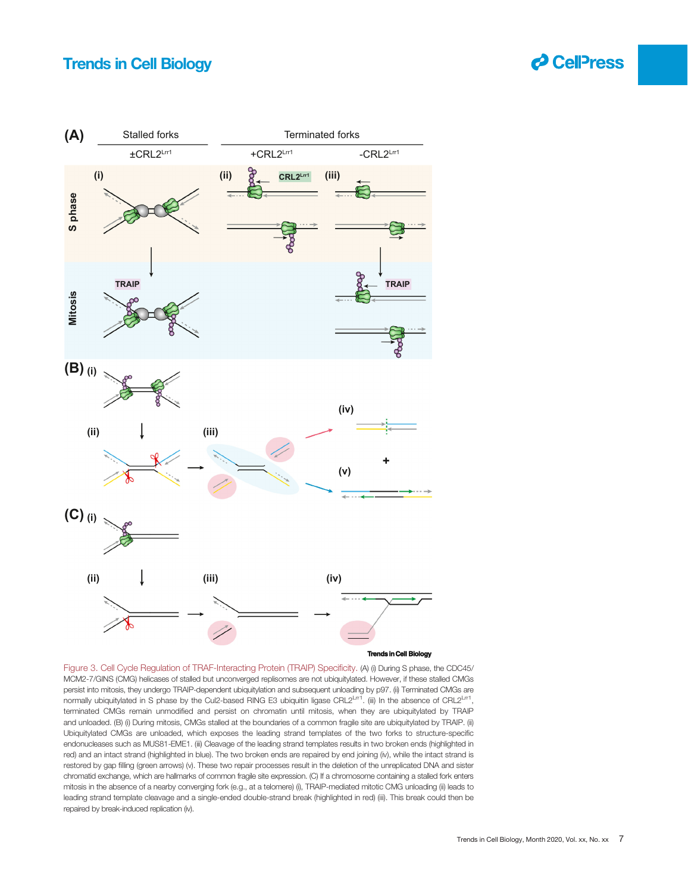

<span id="page-6-0"></span>

**Trends in Cell Biology**

Figure 3. Cell Cycle Regulation of TRAF-Interacting Protein (TRAIP) Specificity. (A) (i) During S phase, the CDC45/ MCM2-7/GINS (CMG) helicases of stalled but unconverged replisomes are not ubiquitylated. However, if these stalled CMGs persist into mitosis, they undergo TRAIP-dependent ubiquitylation and subsequent unloading by p97. (ii) Terminated CMGs are normally ubiquitylated in S phase by the Cul2-based RING E3 ubiquitin ligase CRL2Lrr1. (iii) In the absence of CRL2Lrr1, terminated CMGs remain unmodified and persist on chromatin until mitosis, when they are ubiquitylated by TRAIP and unloaded. (B) (i) During mitosis, CMGs stalled at the boundaries of a common fragile site are ubiquitylated by TRAIP. (ii) Ubiquitylated CMGs are unloaded, which exposes the leading strand templates of the two forks to structure-specific endonucleases such as MUS81-EME1. (iii) Cleavage of the leading strand templates results in two broken ends (highlighted in red) and an intact strand (highlighted in blue). The two broken ends are repaired by end joining (iv), while the intact strand is restored by gap filling (green arrows) (v). These two repair processes result in the deletion of the unreplicated DNA and sister chromatid exchange, which are hallmarks of common fragile site expression. (C) If a chromosome containing a stalled fork enters mitosis in the absence of a nearby converging fork (e.g., at a telomere) (i), TRAIP-mediated mitotic CMG unloading (ii) leads to leading strand template cleavage and a single-ended double-strand break (highlighted in red) (iii). This break could then be repaired by break-induced replication (iv).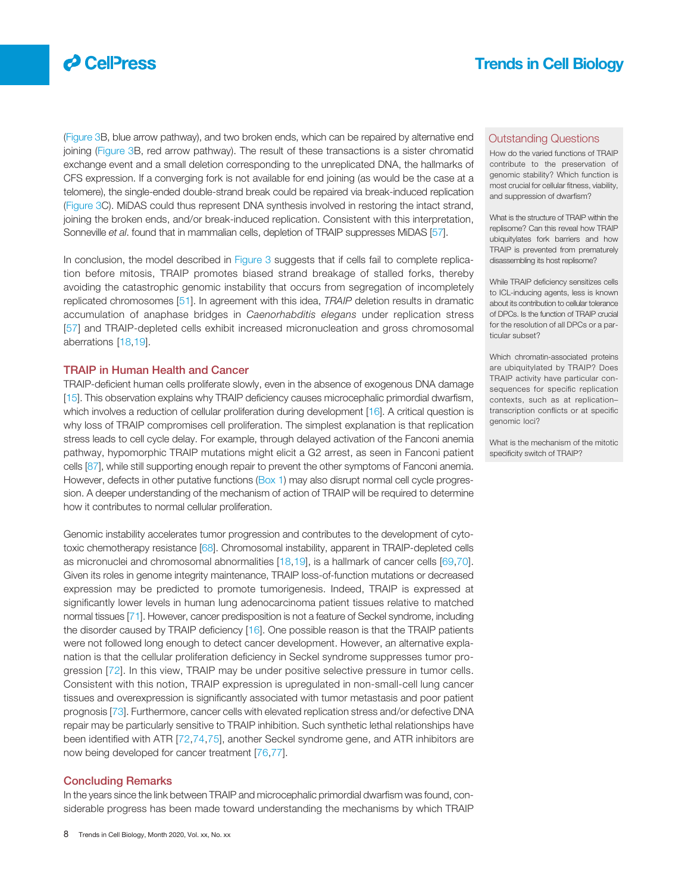

([Figure 3](#page-6-0)B, blue arrow pathway), and two broken ends, which can be repaired by alternative end joining ([Figure 3](#page-6-0)B, red arrow pathway). The result of these transactions is a sister chromatid exchange event and a small deletion corresponding to the unreplicated DNA, the hallmarks of CFS expression. If a converging fork is not available for end joining (as would be the case at a telomere), the single-ended double-strand break could be repaired via break-induced replication ([Figure 3](#page-6-0)C). MiDAS could thus represent DNA synthesis involved in restoring the intact strand, joining the broken ends, and/or break-induced replication. Consistent with this interpretation, Sonneville et al. found that in mammalian cells, depletion of TRAIP suppresses MiDAS [\[57\]](#page-9-0).

In conclusion, the model described in [Figure 3](#page-6-0) suggests that if cells fail to complete replication before mitosis, TRAIP promotes biased strand breakage of stalled forks, thereby avoiding the catastrophic genomic instability that occurs from segregation of incompletely replicated chromosomes [\[51](#page-9-0)]. In agreement with this idea, TRAIP deletion results in dramatic accumulation of anaphase bridges in Caenorhabditis elegans under replication stress [[57](#page-9-0)] and TRAIP-depleted cells exhibit increased micronucleation and gross chromosomal aberrations [[18,19\]](#page-9-0).

#### TRAIP in Human Health and Cancer

TRAIP-deficient human cells proliferate slowly, even in the absence of exogenous DNA damage [[15\]](#page-8-0). This observation explains why TRAIP deficiency causes microcephalic primordial dwarfism, which involves a reduction of cellular proliferation during development [\[16](#page-9-0)]. A critical question is why loss of TRAIP compromises cell proliferation. The simplest explanation is that replication stress leads to cell cycle delay. For example, through delayed activation of the Fanconi anemia pathway, hypomorphic TRAIP mutations might elicit a G2 arrest, as seen in Fanconi patient cells [[87\]](#page-10-0), while still supporting enough repair to prevent the other symptoms of Fanconi anemia. However, defects in other putative functions [\(Box 1\)](#page-8-0) may also disrupt normal cell cycle progression. A deeper understanding of the mechanism of action of TRAIP will be required to determine how it contributes to normal cellular proliferation.

Genomic instability accelerates tumor progression and contributes to the development of cytotoxic chemotherapy resistance [\[68\]](#page-9-0). Chromosomal instability, apparent in TRAIP-depleted cells as micronuclei and chromosomal abnormalities [[18](#page-9-0),[19\]](#page-9-0), is a hallmark of cancer cells [[69](#page-9-0),[70\]](#page-9-0). Given its roles in genome integrity maintenance, TRAIP loss-of-function mutations or decreased expression may be predicted to promote tumorigenesis. Indeed, TRAIP is expressed at significantly lower levels in human lung adenocarcinoma patient tissues relative to matched normal tissues [\[71](#page-9-0)]. However, cancer predisposition is not a feature of Seckel syndrome, including the disorder caused by TRAIP deficiency [[16\]](#page-9-0). One possible reason is that the TRAIP patients were not followed long enough to detect cancer development. However, an alternative explanation is that the cellular proliferation deficiency in Seckel syndrome suppresses tumor progression [[72\]](#page-9-0). In this view, TRAIP may be under positive selective pressure in tumor cells. Consistent with this notion, TRAIP expression is upregulated in non-small-cell lung cancer tissues and overexpression is significantly associated with tumor metastasis and poor patient prognosis [\[73](#page-10-0)]. Furthermore, cancer cells with elevated replication stress and/or defective DNA repair may be particularly sensitive to TRAIP inhibition. Such synthetic lethal relationships have been identified with ATR [[72,](#page-9-0)[74,75](#page-10-0)], another Seckel syndrome gene, and ATR inhibitors are now being developed for cancer treatment [\[76](#page-10-0),[77\]](#page-10-0).

#### Concluding Remarks

In the years since the link between TRAIP and microcephalic primordial dwarfism was found, considerable progress has been made toward understanding the mechanisms by which TRAIP

#### Outstanding Questions

How do the varied functions of TRAIP contribute to the preservation of genomic stability? Which function is most crucial for cellular fitness, viability, and suppression of dwarfism?

What is the structure of TRAIP within the replisome? Can this reveal how TRAIP ubiquitylates fork barriers and how TRAIP is prevented from prematurely disassembling its host replisome?

While TRAIP deficiency sensitizes cells to ICL-inducing agents, less is known about its contribution to cellular tolerance of DPCs. Is the function of TRAIP crucial for the resolution of all DPCs or a particular subset?

Which chromatin-associated proteins are ubiquitylated by TRAIP? Does TRAIP activity have particular consequences for specific replication contexts, such as at replication– transcription conflicts or at specific genomic loci?

What is the mechanism of the mitotic specificity switch of TRAIP?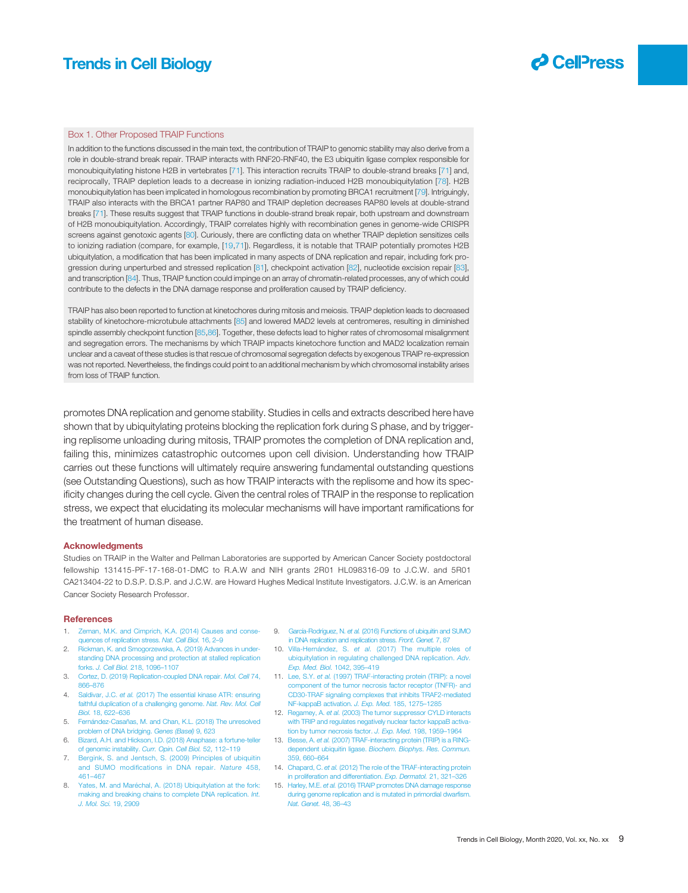

#### <span id="page-8-0"></span>Box 1. Other Proposed TRAIP Functions

In addition to the functions discussed in the main text, the contribution of TRAIP to genomic stability may also derive from a role in double-strand break repair. TRAIP interacts with RNF20-RNF40, the E3 ubiquitin ligase complex responsible for monoubiquitylating histone H2B in vertebrates [[71\]](#page-9-0). This interaction recruits TRAIP to double-strand breaks [[71](#page-9-0)] and, reciprocally, TRAIP depletion leads to a decrease in ionizing radiation-induced H2B monoubiquitylation [[78\]](#page-10-0). H2B monoubiquitylation has been implicated in homologous recombination by promoting BRCA1 recruitment [[79](#page-10-0)]. Intriguingly, TRAIP also interacts with the BRCA1 partner RAP80 and TRAIP depletion decreases RAP80 levels at double-strand breaks [\[71](#page-9-0)]. These results suggest that TRAIP functions in double-strand break repair, both upstream and downstream of H2B monoubiquitylation. Accordingly, TRAIP correlates highly with recombination genes in genome-wide CRISPR screens against genotoxic agents [\[80\]](#page-10-0). Curiously, there are conflicting data on whether TRAIP depletion sensitizes cells to ionizing radiation (compare, for example, [[19](#page-9-0),[71](#page-9-0)]). Regardless, it is notable that TRAIP potentially promotes H2B ubiquitylation, a modification that has been implicated in many aspects of DNA replication and repair, including fork pro-gression during unperturbed and stressed replication [\[81](#page-10-0)], checkpoint activation [[82\]](#page-10-0), nucleotide excision repair [[83\]](#page-10-0), and transcription [[84\]](#page-10-0). Thus, TRAIP function could impinge on an array of chromatin-related processes, any of which could contribute to the defects in the DNA damage response and proliferation caused by TRAIP deficiency.

TRAIP has also been reported to function at kinetochores during mitosis and meiosis. TRAIP depletion leads to decreased stability of kinetochore-microtubule attachments [[85\]](#page-10-0) and lowered MAD2 levels at centromeres, resulting in diminished spindle assembly checkpoint function [[85,86\]](#page-10-0). Together, these defects lead to higher rates of chromosomal misalignment and segregation errors. The mechanisms by which TRAIP impacts kinetochore function and MAD2 localization remain unclear and a caveat of these studies is that rescue of chromosomal segregation defects by exogenous TRAIP re-expression was not reported. Nevertheless, the findings could point to an additional mechanism by which chromosomal instability arises from loss of TRAIP function.

promotes DNA replication and genome stability. Studies in cells and extracts described here have shown that by ubiquitylating proteins blocking the replication fork during S phase, and by triggering replisome unloading during mitosis, TRAIP promotes the completion of DNA replication and, failing this, minimizes catastrophic outcomes upon cell division. Understanding how TRAIP carries out these functions will ultimately require answering fundamental outstanding questions (see Outstanding Questions), such as how TRAIP interacts with the replisome and how its specificity changes during the cell cycle. Given the central roles of TRAIP in the response to replication stress, we expect that elucidating its molecular mechanisms will have important ramifications for the treatment of human disease.

#### **Acknowledaments**

Studies on TRAIP in the Walter and Pellman Laboratories are supported by American Cancer Society postdoctoral fellowship 131415-PF-17-168-01-DMC to R.A.W and NIH grants 2R01 HL098316-09 to J.C.W. and 5R01 CA213404-22 to D.S.P. D.S.P. and J.C.W. are Howard Hughes Medical Institute Investigators. J.C.W. is an American Cancer Society Research Professor.

#### **References**

- 1. [Zeman, M.K. and Cimprich, K.A. \(2014\) Causes and conse](http://refhub.elsevier.com/S0962-8924(20)30232-4/rf0005)[quences of replication stress.](http://refhub.elsevier.com/S0962-8924(20)30232-4/rf0005) Nat. Cell Biol. 16, 2–9
- 2. [Rickman, K. and Smogorzewska, A. \(2019\) Advances in under](http://refhub.elsevier.com/S0962-8924(20)30232-4/rf0010)[standing DNA processing and protection at stalled replication](http://refhub.elsevier.com/S0962-8924(20)30232-4/rf0010) forks. [J. Cell Biol.](http://refhub.elsevier.com/S0962-8924(20)30232-4/rf0010) 218, 1096–1107
- 3. [Cortez, D. \(2019\) Replication-coupled DNA repair.](http://refhub.elsevier.com/S0962-8924(20)30232-4/rf0015) Mol. Cell 74, 866–[876](http://refhub.elsevier.com/S0962-8924(20)30232-4/rf0015)
- 4. Saldivar, J.C. et al. [\(2017\) The essential kinase ATR: ensuring](http://refhub.elsevier.com/S0962-8924(20)30232-4/rf0020) [faithful duplication of a challenging genome.](http://refhub.elsevier.com/S0962-8924(20)30232-4/rf0020) Nat. Rev. Mol. Cell Biol. [18, 622](http://refhub.elsevier.com/S0962-8924(20)30232-4/rf0020)–636
- 5. [Fernández-Casañas, M. and Chan, K.L. \(2018\) The unresolved](http://refhub.elsevier.com/S0962-8924(20)30232-4/rf0025) [problem of DNA bridging.](http://refhub.elsevier.com/S0962-8924(20)30232-4/rf0025) Genes (Basel) 9, 623
- 6. [Bizard, A.H. and Hickson, I.D. \(2018\) Anaphase: a fortune-teller](http://refhub.elsevier.com/S0962-8924(20)30232-4/rf0030) [of genomic instability.](http://refhub.elsevier.com/S0962-8924(20)30232-4/rf0030) Curr. Opin. Cell Biol. 52, 112-119
- 7. [Bergink, S. and Jentsch, S. \(2009\) Principles of ubiquitin](http://refhub.elsevier.com/S0962-8924(20)30232-4/rf0035) and SUMO modifi[cations in DNA repair.](http://refhub.elsevier.com/S0962-8924(20)30232-4/rf0035) Nature 458, 461–[467](http://refhub.elsevier.com/S0962-8924(20)30232-4/rf0035)
- 8. [Yates, M. and Maréchal, A. \(2018\) Ubiquitylation at the fork:](http://refhub.elsevier.com/S0962-8924(20)30232-4/rf0040) [making and breaking chains to complete DNA replication.](http://refhub.elsevier.com/S0962-8924(20)30232-4/rf0040) Int. [J. Mol. Sci.](http://refhub.elsevier.com/S0962-8924(20)30232-4/rf0040) 19, 2909
- 9. García-Rodríguez, N. et al. [\(2016\) Functions of ubiquitin and SUMO](http://refhub.elsevier.com/S0962-8924(20)30232-4/rf0045) [in DNA replication and replication stress.](http://refhub.elsevier.com/S0962-8924(20)30232-4/rf0045) Front. Genet. 7, 87
- 10. Villa-Hernández, S. et al. [\(2017\) The multiple roles of](http://refhub.elsevier.com/S0962-8924(20)30232-4/rf0050) [ubiquitylation in regulating challenged DNA replication.](http://refhub.elsevier.com/S0962-8924(20)30232-4/rf0050) Adv. [Exp. Med. Biol.](http://refhub.elsevier.com/S0962-8924(20)30232-4/rf0050) 1042, 395–419
- 11. Lee, S.Y. et al. [\(1997\) TRAF-interacting protein \(TRIP\): a novel](http://refhub.elsevier.com/S0962-8924(20)30232-4/rf0055) [component of the tumor necrosis factor receptor \(TNFR\)- and](http://refhub.elsevier.com/S0962-8924(20)30232-4/rf0055) [CD30-TRAF signaling complexes that inhibits TRAF2-mediated](http://refhub.elsevier.com/S0962-8924(20)30232-4/rf0055) [NF-kappaB activation.](http://refhub.elsevier.com/S0962-8924(20)30232-4/rf0055) J. Exp. Med. 185, 1275–1285
- 12. Regamey, A. et al. [\(2003\) The tumor suppressor CYLD interacts](http://refhub.elsevier.com/S0962-8924(20)30232-4/rf0060) [with TRIP and regulates negatively nuclear factor kappaB activa](http://refhub.elsevier.com/S0962-8924(20)30232-4/rf0060)[tion by tumor necrosis factor.](http://refhub.elsevier.com/S0962-8924(20)30232-4/rf0060) J. Exp. Med. 198, 1959–1964
- 13. Besse, A. et al. [\(2007\) TRAF-interacting protein \(TRIP\) is a RING](http://refhub.elsevier.com/S0962-8924(20)30232-4/rf0065)dependent ubiquitin ligase. [Biochem. Biophys. Res. Commun.](http://refhub.elsevier.com/S0962-8924(20)30232-4/rf0065) [359, 660](http://refhub.elsevier.com/S0962-8924(20)30232-4/rf0065)–664
- 14. Chapard, C. et al. [\(2012\) The role of the TRAF-interacting protein](http://refhub.elsevier.com/S0962-8924(20)30232-4/rf0070) [in proliferation and differentiation.](http://refhub.elsevier.com/S0962-8924(20)30232-4/rf0070) Exp. Dermatol. 21, 321–326
- 15. Harley, M.E. et al. [\(2016\) TRAIP promotes DNA damage response](http://refhub.elsevier.com/S0962-8924(20)30232-4/rf0075) [during genome replication and is mutated in primordial dwar](http://refhub.elsevier.com/S0962-8924(20)30232-4/rf0075)fism. [Nat. Genet.](http://refhub.elsevier.com/S0962-8924(20)30232-4/rf0075) 48, 36–43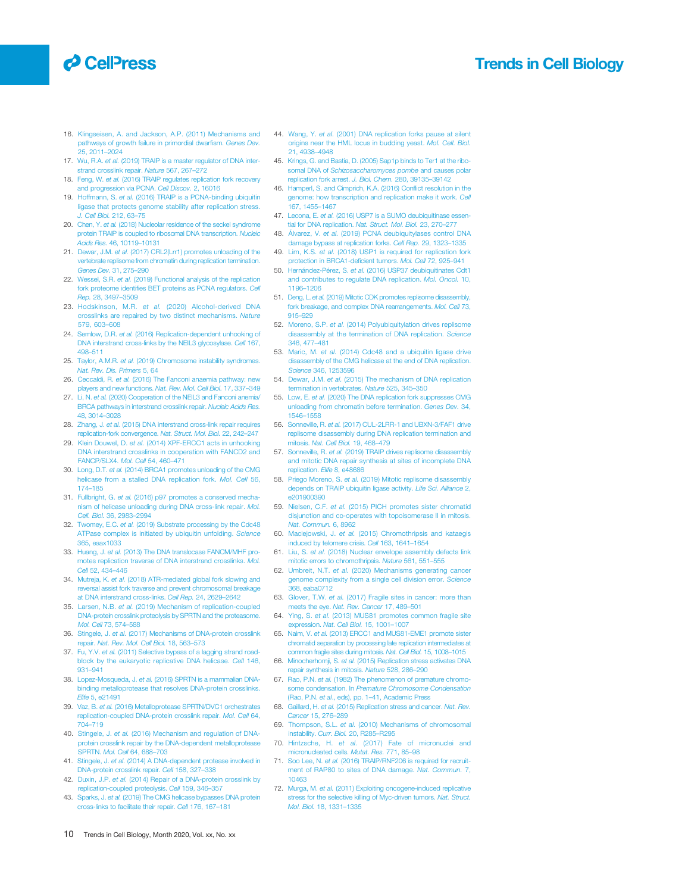## <span id="page-9-0"></span>**O** CellPress

Trends in Cell Biology

- 16. [Klingseisen, A. and Jackson, A.P. \(2011\) Mechanisms and](http://refhub.elsevier.com/S0962-8924(20)30232-4/rf0080) [pathways of growth failure in primordial dwar](http://refhub.elsevier.com/S0962-8924(20)30232-4/rf0080)fism. Genes Dev. [25, 2011](http://refhub.elsevier.com/S0962-8924(20)30232-4/rf0080)–2024
- 17. Wu, R.A. et al. [\(2019\) TRAIP is a master regulator of DNA inter](http://refhub.elsevier.com/S0962-8924(20)30232-4/rf0085)[strand crosslink repair.](http://refhub.elsevier.com/S0962-8924(20)30232-4/rf0085) Nature 567, 267–272
- 18. Feng, W. et al. [\(2016\) TRAIP regulates replication fork recovery](http://refhub.elsevier.com/S0962-8924(20)30232-4/rf0090) [and progression via PCNA.](http://refhub.elsevier.com/S0962-8924(20)30232-4/rf0090) Cell Discov. 2, 16016
- 19. Hoffmann, S. et al. [\(2016\) TRAIP is a PCNA-binding ubiquitin](http://refhub.elsevier.com/S0962-8924(20)30232-4/rf0095) [ligase that protects genome stability after replication stress.](http://refhub.elsevier.com/S0962-8924(20)30232-4/rf0095) [J. Cell Biol.](http://refhub.elsevier.com/S0962-8924(20)30232-4/rf0095) 212, 63–75
- 20. Chen, Y. et al. [\(2018\) Nucleolar residence of the seckel syndrome](http://refhub.elsevier.com/S0962-8924(20)30232-4/rf0100) [protein TRAIP is coupled to ribosomal DNA transcription.](http://refhub.elsevier.com/S0962-8924(20)30232-4/rf0100) Nucleic [Acids Res.](http://refhub.elsevier.com/S0962-8924(20)30232-4/rf0100) 46, 10119–10131
- 21. Dewar, J.M. et al. [\(2017\) CRL2\(Lrr1\) promotes unloading of the](http://refhub.elsevier.com/S0962-8924(20)30232-4/rf0105) [vertebrate replisome from chromatin during replication termination.](http://refhub.elsevier.com/S0962-8924(20)30232-4/rf0105) [Genes Dev.](http://refhub.elsevier.com/S0962-8924(20)30232-4/rf0105) 31, 275–290
- 22. Wessel, S.R. et al. [\(2019\) Functional analysis of the replication](http://refhub.elsevier.com/S0962-8924(20)30232-4/rf0110) fork proteome identifi[es BET proteins as PCNA regulators.](http://refhub.elsevier.com/S0962-8924(20)30232-4/rf0110) Cell Rep. [28, 3497](http://refhub.elsevier.com/S0962-8924(20)30232-4/rf0110)–3509
- 23. Hodskinson, M.R. et al. [\(2020\) Alcohol-derived DNA](http://refhub.elsevier.com/S0962-8924(20)30232-4/rf0115) [crosslinks are repaired by two distinct mechanisms.](http://refhub.elsevier.com/S0962-8924(20)30232-4/rf0115) Nature [579, 603](http://refhub.elsevier.com/S0962-8924(20)30232-4/rf0115)–608
- 24. Semlow, D.R. et al. [\(2016\) Replication-dependent unhooking of](http://refhub.elsevier.com/S0962-8924(20)30232-4/rf0120) [DNA interstrand cross-links by the NEIL3 glycosylase.](http://refhub.elsevier.com/S0962-8924(20)30232-4/rf0120) Cell 167, 498–[511](http://refhub.elsevier.com/S0962-8924(20)30232-4/rf0120)
- 25. Taylor, A.M.R. et al. [\(2019\) Chromosome instability syndromes.](http://refhub.elsevier.com/S0962-8924(20)30232-4/rf0125) [Nat. Rev. Dis. Primers](http://refhub.elsevier.com/S0962-8924(20)30232-4/rf0125) 5, 64
- 26. Ceccaldi, R. et al. [\(2016\) The Fanconi anaemia pathway: new](http://refhub.elsevier.com/S0962-8924(20)30232-4/rf0130) [players and new functions.](http://refhub.elsevier.com/S0962-8924(20)30232-4/rf0130) Nat. Rev. Mol. Cell Biol. 17, 337–349
- 27. Li, N. et al. [\(2020\) Cooperation of the NEIL3 and Fanconi anemia/](http://refhub.elsevier.com/S0962-8924(20)30232-4/rf0135) [BRCA pathways in interstrand crosslink repair.](http://refhub.elsevier.com/S0962-8924(20)30232-4/rf0135) Nucleic Acids Res. [48, 3014](http://refhub.elsevier.com/S0962-8924(20)30232-4/rf0135)–3028
- 28. Zhang, J. et al. [\(2015\) DNA interstrand cross-link repair requires](http://refhub.elsevier.com/S0962-8924(20)30232-4/rf0140) [replication-fork convergence.](http://refhub.elsevier.com/S0962-8924(20)30232-4/rf0140) Nat. Struct. Mol. Biol. 22, 242–247
- 29. Klein Douwel, D. et al. [\(2014\) XPF-ERCC1 acts in unhooking](http://refhub.elsevier.com/S0962-8924(20)30232-4/rf0145) [DNA interstrand crosslinks in cooperation with FANCD2 and](http://refhub.elsevier.com/S0962-8924(20)30232-4/rf0145) [FANCP/SLX4.](http://refhub.elsevier.com/S0962-8924(20)30232-4/rf0145) Mol. Cell 54, 460–471
- 30. Long, D.T. et al. [\(2014\) BRCA1 promotes unloading of the CMG](http://refhub.elsevier.com/S0962-8924(20)30232-4/rf0150) icase from a stalled DNA replication fork. Mol. Cell 56, 174–[185](http://refhub.elsevier.com/S0962-8924(20)30232-4/rf0150)
- 31. Fullbright, G. et al. [\(2016\) p97 promotes a conserved mecha](http://refhub.elsevier.com/S0962-8924(20)30232-4/rf0155)[nism of helicase unloading during DNA cross-link repair.](http://refhub.elsevier.com/S0962-8924(20)30232-4/rf0155) Mol. [Cell. Biol.](http://refhub.elsevier.com/S0962-8924(20)30232-4/rf0155) 36, 2983–2994
- 32. Twomey, E.C. et al. [\(2019\) Substrate processing by the Cdc48](http://refhub.elsevier.com/S0962-8924(20)30232-4/rf0160) [ATPase complex is initiated by ubiquitin unfolding.](http://refhub.elsevier.com/S0962-8924(20)30232-4/rf0160) Science [365, eaax1033](http://refhub.elsevier.com/S0962-8924(20)30232-4/rf0160)
- 33. Huang, J. et al. [\(2013\) The DNA translocase FANCM/MHF pro](http://refhub.elsevier.com/S0962-8924(20)30232-4/rf0165)[motes replication traverse of DNA interstrand crosslinks.](http://refhub.elsevier.com/S0962-8924(20)30232-4/rf0165) Mol. Cell [52, 434](http://refhub.elsevier.com/S0962-8924(20)30232-4/rf0165)–446
- 34. Mutreja, K. et al. [\(2018\) ATR-mediated global fork slowing and](http://refhub.elsevier.com/S0962-8924(20)30232-4/rf0170) [reversal assist fork traverse and prevent chromosomal breakage](http://refhub.elsevier.com/S0962-8924(20)30232-4/rf0170) [at DNA interstrand cross-links.](http://refhub.elsevier.com/S0962-8924(20)30232-4/rf0170) Cell Rep. 24, 2629–2642
- 35. Larsen, N.B. et al. [\(2019\) Mechanism of replication-coupled](http://refhub.elsevier.com/S0962-8924(20)30232-4/rf0175) [DNA-protein crosslink proteolysis by SPRTN and the proteasome.](http://refhub.elsevier.com/S0962-8924(20)30232-4/rf0175) [Mol. Cell](http://refhub.elsevier.com/S0962-8924(20)30232-4/rf0175) 73, 574–588
- 36. Stingele, J. et al. [\(2017\) Mechanisms of DNA-protein crosslink](http://refhub.elsevier.com/S0962-8924(20)30232-4/rf0180) repair. [Nat. Rev. Mol. Cell Biol.](http://refhub.elsevier.com/S0962-8924(20)30232-4/rf0180) 18, 563–573
- 37. Fu, Y.V. et al. [\(2011\) Selective bypass of a lagging strand road](http://refhub.elsevier.com/S0962-8924(20)30232-4/rf0185)[block by the eukaryotic replicative DNA helicase.](http://refhub.elsevier.com/S0962-8924(20)30232-4/rf0185) Cell 146, 931–[941](http://refhub.elsevier.com/S0962-8924(20)30232-4/rf0185)
- 38. Lopez-Mosqueda, J. et al. [\(2016\) SPRTN is a mammalian DNA](http://refhub.elsevier.com/S0962-8924(20)30232-4/rf0190)[binding metalloprotease that resolves DNA-protein crosslinks.](http://refhub.elsevier.com/S0962-8924(20)30232-4/rf0190) Elife [5, e21491](http://refhub.elsevier.com/S0962-8924(20)30232-4/rf0190)
- 39. Vaz, B. et al. [\(2016\) Metalloprotease SPRTN/DVC1 orchestrates](http://refhub.elsevier.com/S0962-8924(20)30232-4/rf0195) [replication-coupled DNA-protein crosslink repair.](http://refhub.elsevier.com/S0962-8924(20)30232-4/rf0195) Mol. Cell 64, 704–[719](http://refhub.elsevier.com/S0962-8924(20)30232-4/rf0195)
- 40. Stingele, J. et al. [\(2016\) Mechanism and regulation of DNA](http://refhub.elsevier.com/S0962-8924(20)30232-4/rf0200)[protein crosslink repair by the DNA-dependent metalloprotease](http://refhub.elsevier.com/S0962-8924(20)30232-4/rf0200) SPRTN. [Mol. Cell](http://refhub.elsevier.com/S0962-8924(20)30232-4/rf0200) 64, 688–703
- 41. Stingele, J. et al. [\(2014\) A DNA-dependent protease involved in](http://refhub.elsevier.com/S0962-8924(20)30232-4/rf0205) [DNA-protein crosslink repair.](http://refhub.elsevier.com/S0962-8924(20)30232-4/rf0205) Cell 158, 327–338
- 42. Duxin, J.P. et al. [\(2014\) Repair of a DNA-protein crosslink by](http://refhub.elsevier.com/S0962-8924(20)30232-4/rf0210) [replication-coupled proteolysis.](http://refhub.elsevier.com/S0962-8924(20)30232-4/rf0210) Cell 159, 346–357 43. Sparks, J. et al. [\(2019\) The CMG helicase bypasses DNA protein](http://refhub.elsevier.com/S0962-8924(20)30232-4/rf0215)
- 44. Wang, Y. et al. [\(2001\) DNA replication forks pause at silent](http://refhub.elsevier.com/S0962-8924(20)30232-4/rf0220) [origins near the HML locus in budding yeast.](http://refhub.elsevier.com/S0962-8924(20)30232-4/rf0220) Mol. Cell. Biol. [21, 4938](http://refhub.elsevier.com/S0962-8924(20)30232-4/rf0220)–4948 45. [Krings, G. and Bastia, D. \(2005\) Sap1p binds to Ter1 at the ribo-](http://refhub.elsevier.com/S0962-8924(20)30232-4/rf0225)
	- somal DNA of [Schizosaccharomyces pombe](http://refhub.elsevier.com/S0962-8924(20)30232-4/rf0225) and causes polar [replication fork arrest.](http://refhub.elsevier.com/S0962-8924(20)30232-4/rf0225) J. Biol. Chem. 280, 39135–39142
	- 46. [Hamperl, S. and Cimprich, K.A. \(2016\) Con](http://refhub.elsevier.com/S0962-8924(20)30232-4/rf0230)flict resolution in the [genome: how transcription and replication make it work.](http://refhub.elsevier.com/S0962-8924(20)30232-4/rf0230) Cell [167, 1455](http://refhub.elsevier.com/S0962-8924(20)30232-4/rf0230)–1467
	- 47. Lecona, E. et al. [\(2016\) USP7 is a SUMO deubiquitinase essen](http://refhub.elsevier.com/S0962-8924(20)30232-4/rf0235)[tial for DNA replication.](http://refhub.elsevier.com/S0962-8924(20)30232-4/rf0235) Nat. Struct. Mol. Biol. 23, 270–277
	- 48. Álvarez, V. et al. [\(2019\) PCNA deubiquitylases control DNA](http://refhub.elsevier.com/S0962-8924(20)30232-4/rf0240) [damage bypass at replication forks.](http://refhub.elsevier.com/S0962-8924(20)30232-4/rf0240) Cell Rep. 29, 1323–1335
	- 49. Lim, K.S. et al. [\(2018\) USP1 is required for replication fork](http://refhub.elsevier.com/S0962-8924(20)30232-4/rf0245) [protection in BRCA1-de](http://refhub.elsevier.com/S0962-8924(20)30232-4/rf0245)ficient tumors. Mol. Cell 72, 925–941
	- 50. Hernández-Pérez, S. et al. [\(2016\) USP37 deubiquitinates Cdt1](http://refhub.elsevier.com/S0962-8924(20)30232-4/rf0250) [and contributes to regulate DNA replication.](http://refhub.elsevier.com/S0962-8924(20)30232-4/rf0250) Mol. Oncol. 10, 1196–[1206](http://refhub.elsevier.com/S0962-8924(20)30232-4/rf0250)
	- 51. Deng, L. et al. [\(2019\) Mitotic CDK promotes replisome disassembly,](http://refhub.elsevier.com/S0962-8924(20)30232-4/rf0255) [fork breakage, and complex DNA rearrangements.](http://refhub.elsevier.com/S0962-8924(20)30232-4/rf0255) Mol. Cell 73, [915](http://refhub.elsevier.com/S0962-8924(20)30232-4/rf0255)–929
	- 52. Moreno, S.P. et al. [\(2014\) Polyubiquitylation drives replisome](http://refhub.elsevier.com/S0962-8924(20)30232-4/rf0260) [disassembly at the termination of DNA replication.](http://refhub.elsevier.com/S0962-8924(20)30232-4/rf0260) Science [346, 477](http://refhub.elsevier.com/S0962-8924(20)30232-4/rf0260)–481
	- 53. Maric, M. et al. [\(2014\) Cdc48 and a ubiquitin ligase drive](http://refhub.elsevier.com/S0962-8924(20)30232-4/rf0265) [disassembly of the CMG helicase at the end of DNA replication.](http://refhub.elsevier.com/S0962-8924(20)30232-4/rf0265) Science [346, 1253596](http://refhub.elsevier.com/S0962-8924(20)30232-4/rf0265)
	- 54. Dewar, J.M. et al. [\(2015\) The mechanism of DNA replication](http://refhub.elsevier.com/S0962-8924(20)30232-4/rf0270) [termination in vertebrates.](http://refhub.elsevier.com/S0962-8924(20)30232-4/rf0270) Nature 525, 345–350.
	- 55. Low, E. et al. [\(2020\) The DNA replication fork suppresses CMG](http://refhub.elsevier.com/S0962-8924(20)30232-4/rf0275) [unloading from chromatin before termination.](http://refhub.elsevier.com/S0962-8924(20)30232-4/rf0275) Genes Dev. 34, 1546–[1558](http://refhub.elsevier.com/S0962-8924(20)30232-4/rf0275)
	- 56. Sonneville, R. et al. [\(2017\) CUL-2LRR-1 and UBXN-3/FAF1 drive](http://refhub.elsevier.com/S0962-8924(20)30232-4/rf0280) [replisome disassembly during DNA replication termination and](http://refhub.elsevier.com/S0962-8924(20)30232-4/rf0280) mitosis. [Nat. Cell Biol.](http://refhub.elsevier.com/S0962-8924(20)30232-4/rf0280) 19, 468–479
	- 57. Sonneville, R. et al. [\(2019\) TRAIP drives replisome disassembly](http://refhub.elsevier.com/S0962-8924(20)30232-4/rf0285) [and mitotic DNA repair synthesis at sites of incomplete DNA](http://refhub.elsevier.com/S0962-8924(20)30232-4/rf0285) [replication.](http://refhub.elsevier.com/S0962-8924(20)30232-4/rf0285) Elife 8, e48686
	- 58. Priego Moreno, S. et al. [\(2019\) Mitotic replisome disassembly](http://refhub.elsevier.com/S0962-8924(20)30232-4/rf0290) [depends on TRAIP ubiquitin ligase activity.](http://refhub.elsevier.com/S0962-8924(20)30232-4/rf0290) Life Sci. Alliance 2, [e201900390](http://refhub.elsevier.com/S0962-8924(20)30232-4/rf0290)
	- 59. Nielsen, C.F. et al. [\(2015\) PICH promotes sister chromatid](http://refhub.elsevier.com/S0962-8924(20)30232-4/rf0295) [disjunction and co-operates with topoisomerase II in mitosis.](http://refhub.elsevier.com/S0962-8924(20)30232-4/rf0295) [Nat. Commun.](http://refhub.elsevier.com/S0962-8924(20)30232-4/rf0295) 6, 8962
	- 60. Maciejowski, J. et al. [\(2015\) Chromothripsis and kataegis](http://refhub.elsevier.com/S0962-8924(20)30232-4/rf0300) [induced by telomere crisis.](http://refhub.elsevier.com/S0962-8924(20)30232-4/rf0300) Cell 163, 1641–1654
	- 61. Liu, S. et al. [\(2018\) Nuclear envelope assembly defects link](http://refhub.elsevier.com/S0962-8924(20)30232-4/rf0305) [mitotic errors to chromothripsis.](http://refhub.elsevier.com/S0962-8924(20)30232-4/rf0305) Nature 561, 551–555
	- 62. Umbreit, N.T. et al. [\(2020\) Mechanisms generating cancer](http://refhub.elsevier.com/S0962-8924(20)30232-4/rf0310) [genome complexity from a single cell division error.](http://refhub.elsevier.com/S0962-8924(20)30232-4/rf0310) Science [368, eaba0712](http://refhub.elsevier.com/S0962-8924(20)30232-4/rf0310)
	- 63. Glover, T.W. et al. [\(2017\) Fragile sites in cancer: more than](http://refhub.elsevier.com/S0962-8924(20)30232-4/rf0315) meets the eye. [Nat. Rev. Cancer](http://refhub.elsevier.com/S0962-8924(20)30232-4/rf0315) 17, 489–501
	- 64. Ying, S. et al. [\(2013\) MUS81 promotes common fragile site](http://refhub.elsevier.com/S0962-8924(20)30232-4/rf0320) xpression. [Nat. Cell Biol.](http://refhub.elsevier.com/S0962-8924(20)30232-4/rf0320) 15, 1001-1007
	- 65. Naim, V. et al. [\(2013\) ERCC1 and MUS81-EME1 promote sister](http://refhub.elsevier.com/S0962-8924(20)30232-4/rf0325) [chromatid separation by processing late replication intermediates at](http://refhub.elsevier.com/S0962-8924(20)30232-4/rf0325) [common fragile sites during mitosis.](http://refhub.elsevier.com/S0962-8924(20)30232-4/rf0325) Nat. Cell Biol. 15, 1008–1015
	- 66. Minocherhomji, S. et al. [\(2015\) Replication stress activates DNA](http://refhub.elsevier.com/S0962-8924(20)30232-4/rf0330) [repair synthesis in mitosis.](http://refhub.elsevier.com/S0962-8924(20)30232-4/rf0330) Nature 528, 286–290
	- 67. Rao, P.N. et al. [\(1982\) The phenomenon of premature chromo](http://refhub.elsevier.com/S0962-8924(20)30232-4/rf0335)some condensation. In [Premature Chromosome Condensation](http://refhub.elsevier.com/S0962-8924(20)30232-4/rf0335) (Rao, P.N. et al., eds), pp. 1–[41, Academic Press](http://refhub.elsevier.com/S0962-8924(20)30232-4/rf0335)
	- 68. Gaillard, H. et al. [\(2015\) Replication stress and cancer.](http://refhub.elsevier.com/S0962-8924(20)30232-4/rf0340) Nat. Rev. Cancer [15, 276](http://refhub.elsevier.com/S0962-8924(20)30232-4/rf0340)–289
	- 69. Thompson, S.L. et al. [\(2010\) Mechanisms of chromosomal](http://refhub.elsevier.com/S0962-8924(20)30232-4/rf0345) instability. [Curr. Biol.](http://refhub.elsevier.com/S0962-8924(20)30232-4/rf0345) 20, R285–R295
	- 70. Hintzsche, H. et al. [\(2017\) Fate of micronuclei and](http://refhub.elsevier.com/S0962-8924(20)30232-4/rf0350) [micronucleated cells.](http://refhub.elsevier.com/S0962-8924(20)30232-4/rf0350) Mutat. Res. 771, 85–98.
	- 71. Soo Lee, N. et al. [\(2016\) TRAIP/RNF206 is required for recruit](http://refhub.elsevier.com/S0962-8924(20)30232-4/rf0355)[ment of RAP80 to sites of DNA damage.](http://refhub.elsevier.com/S0962-8924(20)30232-4/rf0355) Nat. Commun. 7, [10463](http://refhub.elsevier.com/S0962-8924(20)30232-4/rf0355)
	- 72. Murga, M. et al. [\(2011\) Exploiting oncogene-induced replicative](http://refhub.elsevier.com/S0962-8924(20)30232-4/rf0360) s for the selective killing of Myc-driven tumors. Nat. Struct. [Mol. Biol.](http://refhub.elsevier.com/S0962-8924(20)30232-4/rf0360) 18, 1331–1335
- 10 Trends in Cell Biology, Month 2020, Vol. xx, No. xx

[cross-links to facilitate their repair.](http://refhub.elsevier.com/S0962-8924(20)30232-4/rf0215) Cell 176, 167–181